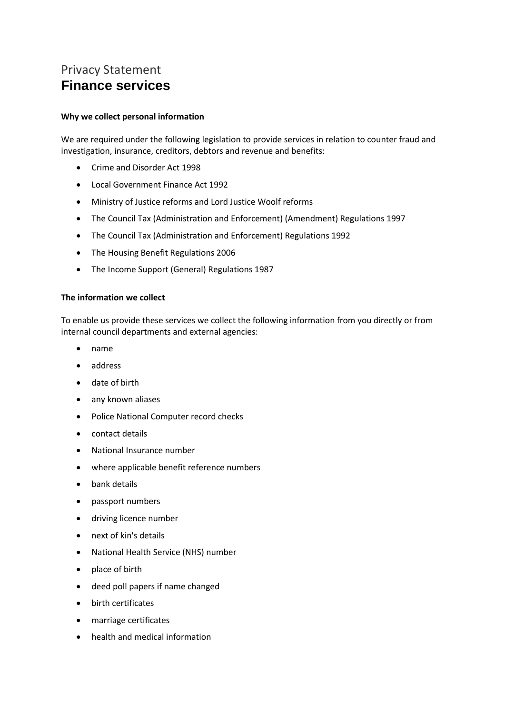# Privacy Statement **Finance services**

# **Why we collect personal information**

We are required under the following legislation to provide services in relation to counter fraud and investigation, insurance, creditors, debtors and revenue and benefits:

- Crime and Disorder Act 1998
- Local Government Finance Act 1992
- Ministry of Justice reforms and Lord Justice Woolf reforms
- The Council Tax (Administration and Enforcement) (Amendment) Regulations 1997
- The Council Tax (Administration and Enforcement) Regulations 1992
- The Housing Benefit Regulations 2006
- The Income Support (General) Regulations 1987

#### **The information we collect**

To enable us provide these services we collect the following information from you directly or from internal council departments and external agencies:

- name
- address
- date of birth
- any known aliases
- Police National Computer record checks
- contact details
- National Insurance number
- where applicable benefit reference numbers
- bank details
- passport numbers
- driving licence number
- next of kin's details
- National Health Service (NHS) number
- place of birth
- deed poll papers if name changed
- birth certificates
- marriage certificates
- health and medical information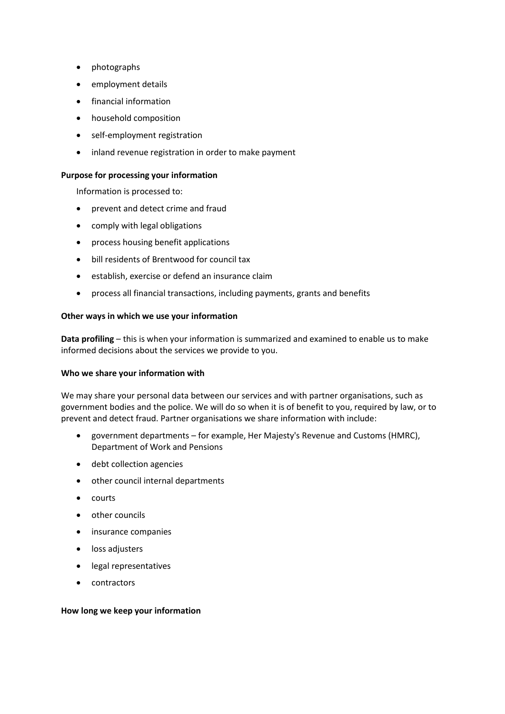- photographs
- employment details
- financial information
- household composition
- self-employment registration
- inland revenue registration in order to make payment

#### **Purpose for processing your information**

Information is processed to:

- prevent and detect crime and fraud
- comply with legal obligations
- process housing benefit applications
- bill residents of Brentwood for council tax
- establish, exercise or defend an insurance claim
- process all financial transactions, including payments, grants and benefits

#### **Other ways in which we use your information**

**Data profiling** – this is when your information is summarized and examined to enable us to make informed decisions about the services we provide to you.

## **Who we share your information with**

We may share your personal data between our services and with partner organisations, such as government bodies and the police. We will do so when it is of benefit to you, required by law, or to prevent and detect fraud. Partner organisations we share information with include:

- government departments for example, Her Majesty's Revenue and Customs (HMRC), Department of Work and Pensions
- debt collection agencies
- other council internal departments
- courts
- other councils
- insurance companies
- loss adjusters
- legal representatives
- contractors

## **How long we keep your information**